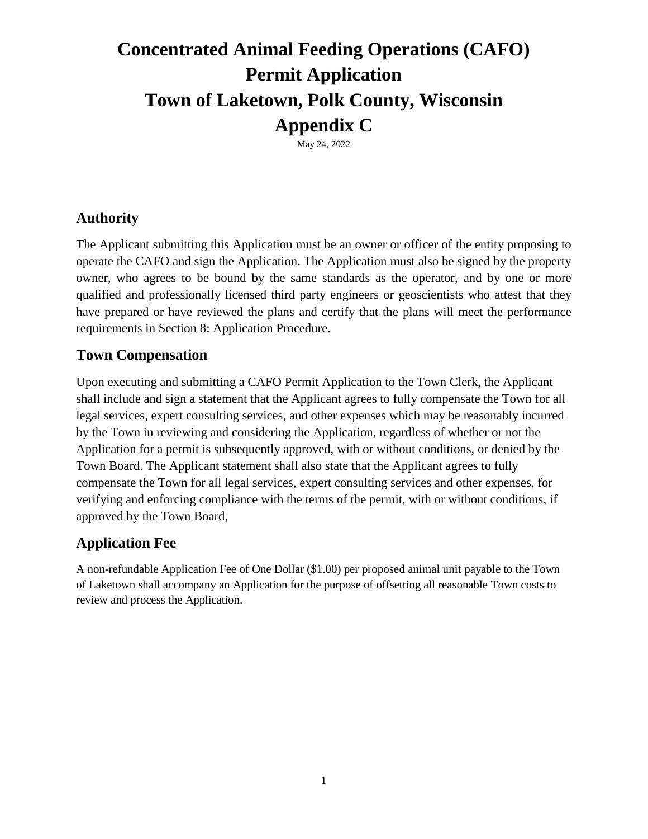# **Concentrated Animal Feeding Operations (CAFO) Permit Application Town of Laketown, Polk County, Wisconsin Appendix C**

May 24, 2022

### **Authority**

The Applicant submitting this Application must be an owner or officer of the entity proposing to operate the CAFO and sign the Application. The Application must also be signed by the property owner, who agrees to be bound by the same standards as the operator, and by one or more qualified and professionally licensed third party engineers or geoscientists who attest that they have prepared or have reviewed the plans and certify that the plans will meet the performance requirements in Section 8: Application Procedure.

#### **Town Compensation**

Upon executing and submitting a CAFO Permit Application to the Town Clerk, the Applicant shall include and sign a statement that the Applicant agrees to fully compensate the Town for all legal services, expert consulting services, and other expenses which may be reasonably incurred by the Town in reviewing and considering the Application, regardless of whether or not the Application for a permit is subsequently approved, with or without conditions, or denied by the Town Board. The Applicant statement shall also state that the Applicant agrees to fully compensate the Town for all legal services, expert consulting services and other expenses, for verifying and enforcing compliance with the terms of the permit, with or without conditions, if approved by the Town Board,

### **Application Fee**

A non-refundable Application Fee of One Dollar (\$1.00) per proposed animal unit payable to the Town of Laketown shall accompany an Application for the purpose of offsetting all reasonable Town costs to review and process the Application.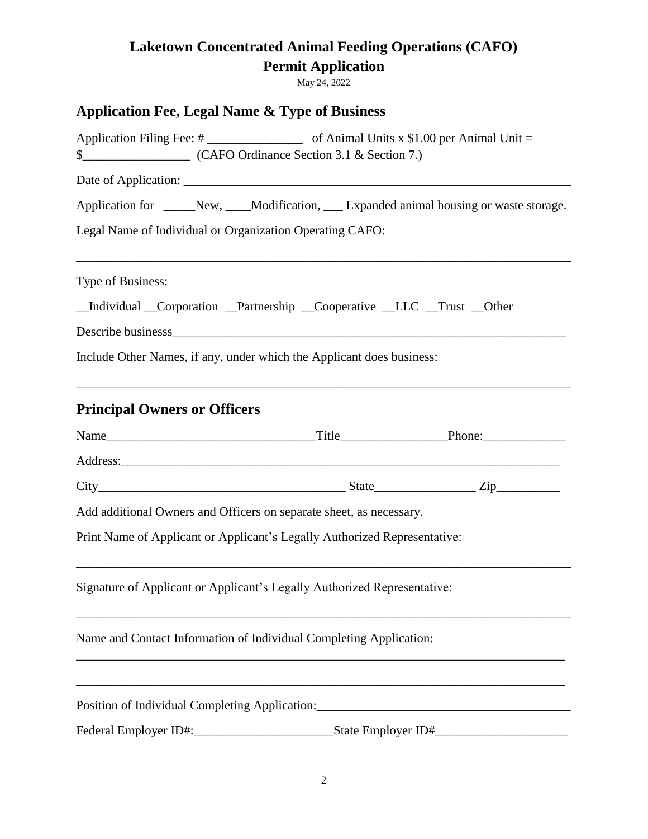May 24, 2022

# **Application Fee, Legal Name & Type of Business**

| Application for _____New, ____Modification, ___ Expanded animal housing or waste storage.       |  |  |  |  |  |  |
|-------------------------------------------------------------------------------------------------|--|--|--|--|--|--|
| Legal Name of Individual or Organization Operating CAFO:                                        |  |  |  |  |  |  |
| Type of Business:                                                                               |  |  |  |  |  |  |
| _Individual _Corporation _Partnership _Cooperative _LLC _Trust _Other                           |  |  |  |  |  |  |
|                                                                                                 |  |  |  |  |  |  |
| Include Other Names, if any, under which the Applicant does business:                           |  |  |  |  |  |  |
| <b>Principal Owners or Officers</b>                                                             |  |  |  |  |  |  |
|                                                                                                 |  |  |  |  |  |  |
|                                                                                                 |  |  |  |  |  |  |
|                                                                                                 |  |  |  |  |  |  |
| Add additional Owners and Officers on separate sheet, as necessary.                             |  |  |  |  |  |  |
| Print Name of Applicant or Applicant's Legally Authorized Representative:                       |  |  |  |  |  |  |
| Signature of Applicant or Applicant's Legally Authorized Representative:                        |  |  |  |  |  |  |
| Name and Contact Information of Individual Completing Application:                              |  |  |  |  |  |  |
| Position of Individual Completing Application:<br><u> 1980 - Andrea Andrew Maria (h. 1980).</u> |  |  |  |  |  |  |
|                                                                                                 |  |  |  |  |  |  |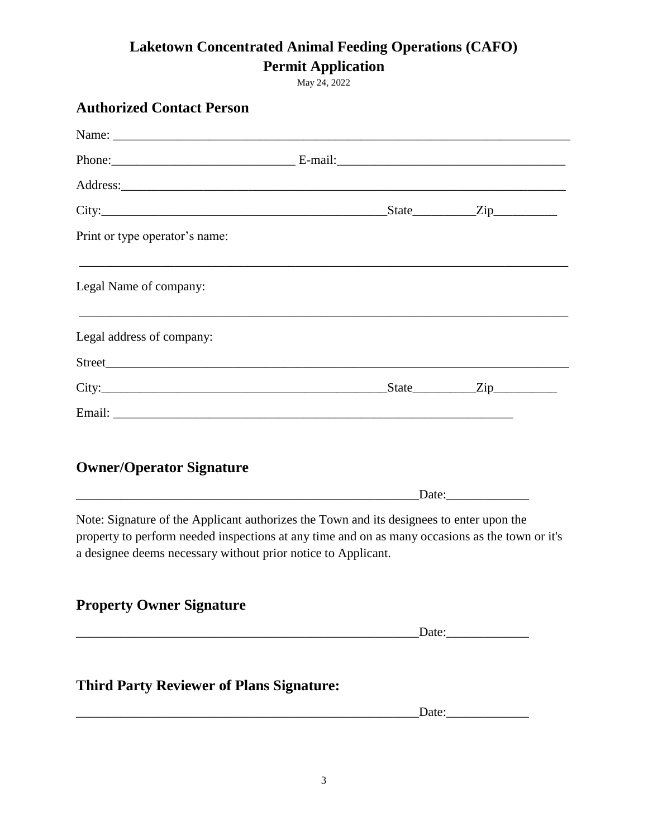**Laketown Concentrated Animal Feeding Operations (CAFO)** 

**Permit Application**

May 24, 2022

| <b>Authorized Contact Person</b>                                                                                                                                                                                                                             |  |       |
|--------------------------------------------------------------------------------------------------------------------------------------------------------------------------------------------------------------------------------------------------------------|--|-------|
|                                                                                                                                                                                                                                                              |  |       |
|                                                                                                                                                                                                                                                              |  |       |
|                                                                                                                                                                                                                                                              |  |       |
|                                                                                                                                                                                                                                                              |  |       |
| Print or type operator's name:                                                                                                                                                                                                                               |  |       |
| Legal Name of company:                                                                                                                                                                                                                                       |  |       |
| ,我们也不能在这里的时候,我们也不能在这里的时候,我们也不能会在这里的时候,我们也不能会在这里的时候,我们也不能会在这里的时候,我们也不能会在这里的时候,我们也不<br>Legal address of company:                                                                                                                                               |  |       |
|                                                                                                                                                                                                                                                              |  |       |
|                                                                                                                                                                                                                                                              |  |       |
|                                                                                                                                                                                                                                                              |  |       |
| <b>Owner/Operator Signature</b>                                                                                                                                                                                                                              |  |       |
|                                                                                                                                                                                                                                                              |  |       |
| Note: Signature of the Applicant authorizes the Town and its designees to enter upon the<br>property to perform needed inspections at any time and on as many occasions as the town or it's<br>a designee deems necessary without prior notice to Applicant. |  |       |
| <b>Property Owner Signature</b>                                                                                                                                                                                                                              |  |       |
|                                                                                                                                                                                                                                                              |  |       |
| <b>Third Party Reviewer of Plans Signature:</b>                                                                                                                                                                                                              |  |       |
|                                                                                                                                                                                                                                                              |  | Date: |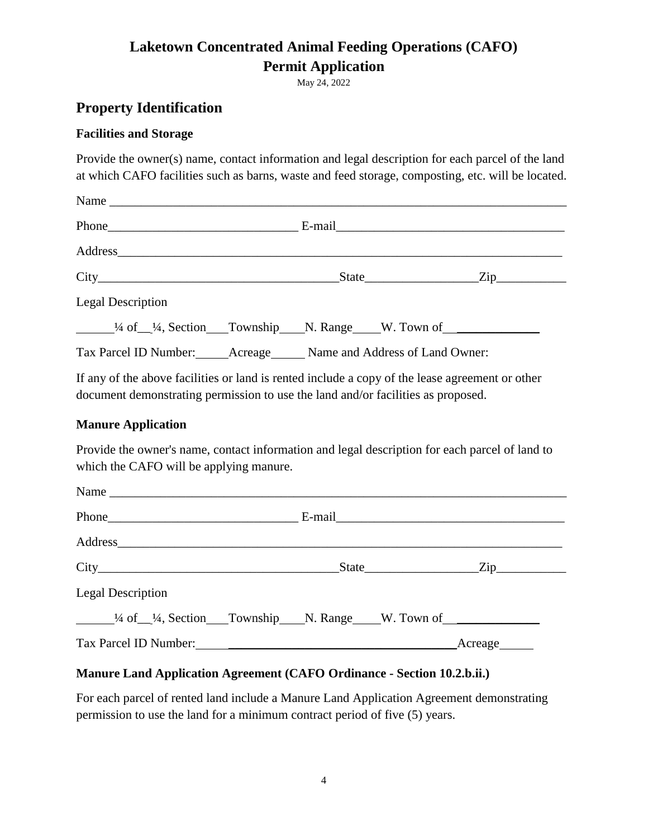May 24, 2022

#### **Property Identification**

#### **Facilities and Storage**

Provide the owner(s) name, contact information and legal description for each parcel of the land at which CAFO facilities such as barns, waste and feed storage, composting, etc. will be located.

| <b>Legal Description</b>                                                             |  |  |  |
|--------------------------------------------------------------------------------------|--|--|--|
| <sup>1/4</sup> of <sup>1</sup> / <sub>4</sub> , Section Township N. Range W. Town of |  |  |  |
| Tax Parcel ID Number: ______ Acreage ______ Name and Address of Land Owner:          |  |  |  |

If any of the above facilities or land is rented include a copy of the lease agreement or other document demonstrating permission to use the land and/or facilities as proposed.

#### **Manure Application**

Provide the owner's name, contact information and legal description for each parcel of land to which the CAFO will be applying manure.

|                                                                       | $State$ $Zip$ |  |
|-----------------------------------------------------------------------|---------------|--|
| <b>Legal Description</b>                                              |               |  |
| $\frac{1}{4}$ of $\frac{1}{4}$ , Section Township N. Range W. Town of |               |  |
|                                                                       |               |  |

#### **Manure Land Application Agreement (CAFO Ordinance - Section 10.2.b.ii.)**

For each parcel of rented land include a Manure Land Application Agreement demonstrating permission to use the land for a minimum contract period of five (5) years.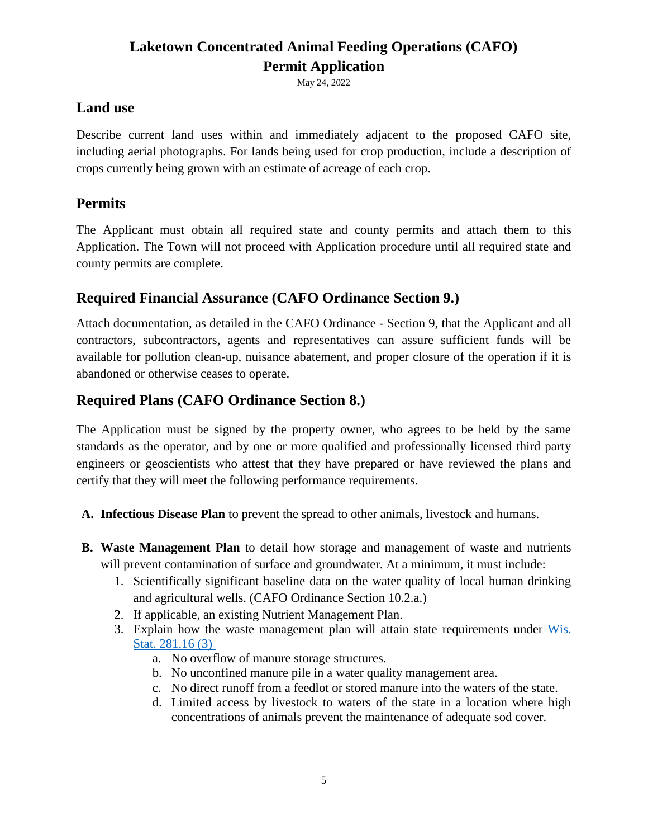May 24, 2022

### **Land use**

Describe current land uses within and immediately adjacent to the proposed CAFO site, including aerial photographs. For lands being used for crop production, include a description of crops currently being grown with an estimate of acreage of each crop.

### **Permits**

The Applicant must obtain all required state and county permits and attach them to this Application. The Town will not proceed with Application procedure until all required state and county permits are complete.

### **Required Financial Assurance (CAFO Ordinance Section 9.)**

Attach documentation, as detailed in the CAFO Ordinance - Section 9, that the Applicant and all contractors, subcontractors, agents and representatives can assure sufficient funds will be available for pollution clean-up, nuisance abatement, and proper closure of the operation if it is abandoned or otherwise ceases to operate.

### **Required Plans (CAFO Ordinance Section 8.)**

The Application must be signed by the property owner, who agrees to be held by the same standards as the operator, and by one or more qualified and professionally licensed third party engineers or geoscientists who attest that they have prepared or have reviewed the plans and certify that they will meet the following performance requirements.

- **A. Infectious Disease Plan** to prevent the spread to other animals, livestock and humans.
- **B. Waste Management Plan** to detail how storage and management of waste and nutrients will prevent contamination of surface and groundwater. At a minimum, it must include:
	- 1. Scientifically significant baseline data on the water quality of local human drinking and agricultural wells. (CAFO Ordinance Section 10.2.a.)
	- 2. If applicable, an existing Nutrient Management Plan.
	- 3. Explain how the waste management plan will attain state requirements under [Wis.](https://docs.legis.wisconsin.gov/statutes/statutes/281/II/16/3)  [Stat. 281.16 \(3\)](https://docs.legis.wisconsin.gov/statutes/statutes/281/II/16/3)
		- a. No overflow of manure storage structures.
		- b. No unconfined manure pile in a water quality management area.
		- c. No direct runoff from a feedlot or stored manure into the waters of the state.
		- d. Limited access by livestock to waters of the state in a location where high concentrations of animals prevent the maintenance of adequate sod cover.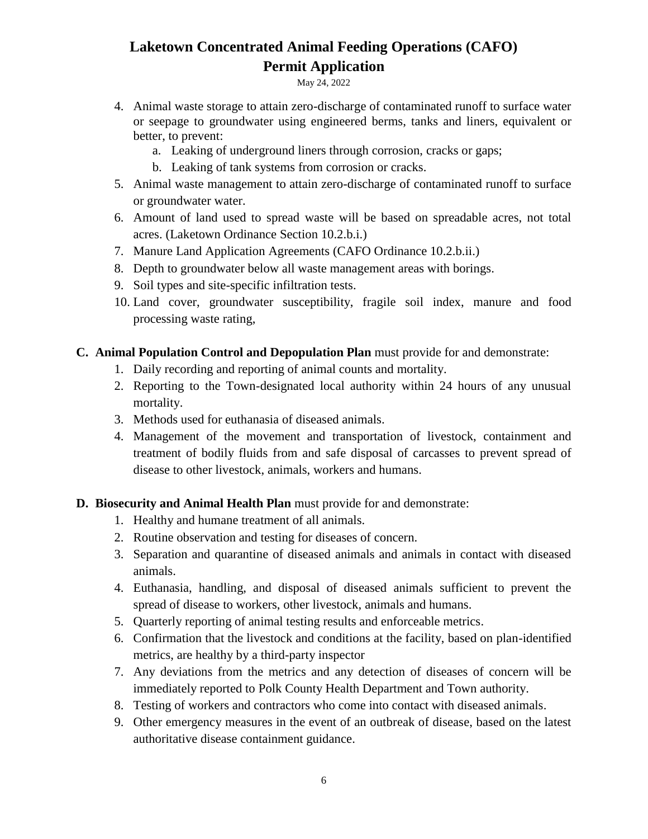May 24, 2022

- 4. Animal waste storage to attain zero-discharge of contaminated runoff to surface water or seepage to groundwater using engineered berms, tanks and liners, equivalent or better, to prevent:
	- a. Leaking of underground liners through corrosion, cracks or gaps;
	- b. Leaking of tank systems from corrosion or cracks.
- 5. Animal waste management to attain zero-discharge of contaminated runoff to surface or groundwater water.
- 6. Amount of land used to spread waste will be based on spreadable acres, not total acres. (Laketown Ordinance Section 10.2.b.i.)
- 7. Manure Land Application Agreements (CAFO Ordinance 10.2.b.ii.)
- 8. Depth to groundwater below all waste management areas with borings.
- 9. Soil types and site-specific infiltration tests.
- 10. Land cover, groundwater susceptibility, fragile soil index, manure and food processing waste rating,

#### **C. Animal Population Control and Depopulation Plan** must provide for and demonstrate:

- 1. Daily recording and reporting of animal counts and mortality.
- 2. Reporting to the Town-designated local authority within 24 hours of any unusual mortality.
- 3. Methods used for euthanasia of diseased animals.
- 4. Management of the movement and transportation of livestock, containment and treatment of bodily fluids from and safe disposal of carcasses to prevent spread of disease to other livestock, animals, workers and humans.

#### **D. Biosecurity and Animal Health Plan** must provide for and demonstrate:

- 1. Healthy and humane treatment of all animals.
- 2. Routine observation and testing for diseases of concern.
- 3. Separation and quarantine of diseased animals and animals in contact with diseased animals.
- 4. Euthanasia, handling, and disposal of diseased animals sufficient to prevent the spread of disease to workers, other livestock, animals and humans.
- 5. Quarterly reporting of animal testing results and enforceable metrics.
- 6. Confirmation that the livestock and conditions at the facility, based on plan-identified metrics, are healthy by a third-party inspector
- 7. Any deviations from the metrics and any detection of diseases of concern will be immediately reported to Polk County Health Department and Town authority.
- 8. Testing of workers and contractors who come into contact with diseased animals.
- 9. Other emergency measures in the event of an outbreak of disease, based on the latest authoritative disease containment guidance.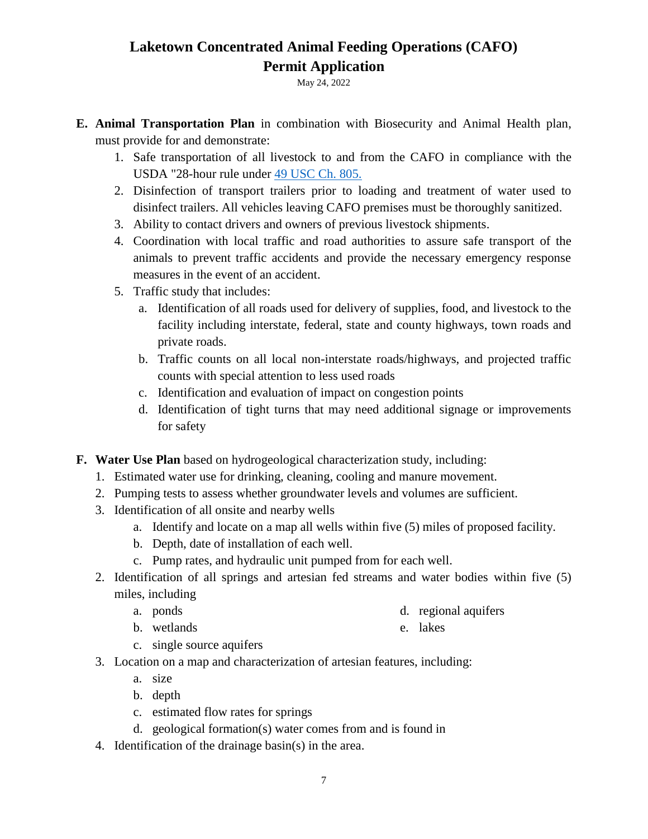May 24, 2022

- **E. Animal Transportation Plan** in combination with Biosecurity and Animal Health plan, must provide for and demonstrate:
	- 1. Safe transportation of all livestock to and from the CAFO in compliance with the USDA "28-hour rule under [49 USC Ch. 805.](https://uscode.house.gov/view.xhtml?path=/prelim@title49/subtitle10/chapter805&edition=prelim)
	- 2. Disinfection of transport trailers prior to loading and treatment of water used to disinfect trailers. All vehicles leaving CAFO premises must be thoroughly sanitized.
	- 3. Ability to contact drivers and owners of previous livestock shipments.
	- 4. Coordination with local traffic and road authorities to assure safe transport of the animals to prevent traffic accidents and provide the necessary emergency response measures in the event of an accident.
	- 5. Traffic study that includes:
		- a. Identification of all roads used for delivery of supplies, food, and livestock to the facility including interstate, federal, state and county highways, town roads and private roads.
		- b. Traffic counts on all local non-interstate roads/highways, and projected traffic counts with special attention to less used roads
		- c. Identification and evaluation of impact on congestion points
		- d. Identification of tight turns that may need additional signage or improvements for safety
- **F. Water Use Plan** based on hydrogeological characterization study, including:
	- 1. Estimated water use for drinking, cleaning, cooling and manure movement.
	- 2. Pumping tests to assess whether groundwater levels and volumes are sufficient.
	- 3. Identification of all onsite and nearby wells
		- a. Identify and locate on a map all wells within five (5) miles of proposed facility.
		- b. Depth, date of installation of each well.
		- c. Pump rates, and hydraulic unit pumped from for each well.
	- 2. Identification of all springs and artesian fed streams and water bodies within five (5) miles, including
		- a. ponds

d. regional aquifers

b. wetlands

e. lakes

- c. single source aquifers
- 3. Location on a map and characterization of artesian features, including:
	- a. size
	- b. depth
	- c. estimated flow rates for springs
	- d. geological formation(s) water comes from and is found in
- 4. Identification of the drainage basin(s) in the area.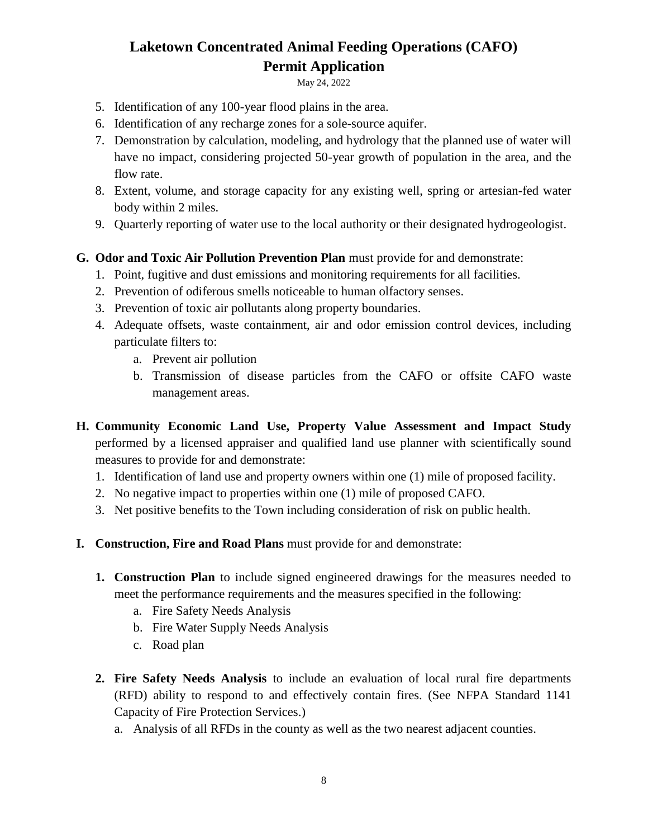May 24, 2022

- 5. Identification of any 100-year flood plains in the area.
- 6. Identification of any recharge zones for a sole-source aquifer.
- 7. Demonstration by calculation, modeling, and hydrology that the planned use of water will have no impact, considering projected 50-year growth of population in the area, and the flow rate.
- 8. Extent, volume, and storage capacity for any existing well, spring or artesian-fed water body within 2 miles.
- 9. Quarterly reporting of water use to the local authority or their designated hydrogeologist.

#### **G. Odor and Toxic Air Pollution Prevention Plan** must provide for and demonstrate:

- 1. Point, fugitive and dust emissions and monitoring requirements for all facilities.
- 2. Prevention of odiferous smells noticeable to human olfactory senses.
- 3. Prevention of toxic air pollutants along property boundaries.
- 4. Adequate offsets, waste containment, air and odor emission control devices, including particulate filters to:
	- a. Prevent air pollution
	- b. Transmission of disease particles from the CAFO or offsite CAFO waste management areas.
- **H. Community Economic Land Use, Property Value Assessment and Impact Study**  performed by a licensed appraiser and qualified land use planner with scientifically sound measures to provide for and demonstrate:
	- 1. Identification of land use and property owners within one (1) mile of proposed facility.
	- 2. No negative impact to properties within one (1) mile of proposed CAFO.
	- 3. Net positive benefits to the Town including consideration of risk on public health.
- **I. Construction, Fire and Road Plans** must provide for and demonstrate:
	- **1. Construction Plan** to include signed engineered drawings for the measures needed to meet the performance requirements and the measures specified in the following:
		- a. Fire Safety Needs Analysis
		- b. Fire Water Supply Needs Analysis
		- c. Road plan
	- **2. Fire Safety Needs Analysis** to include an evaluation of local rural fire departments (RFD) ability to respond to and effectively contain fires. (See NFPA Standard 1141 Capacity of Fire Protection Services.)
		- a. Analysis of all RFDs in the county as well as the two nearest adjacent counties.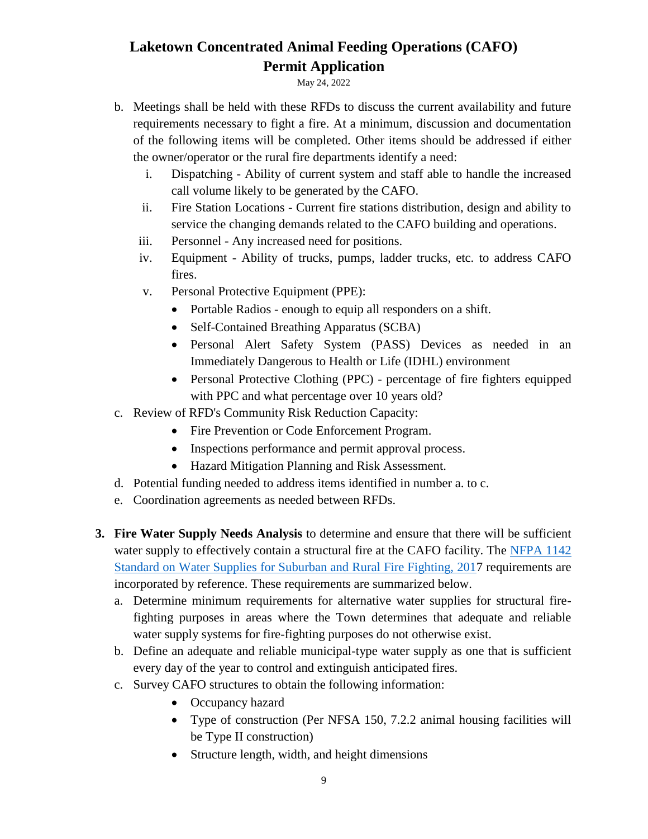May 24, 2022

- b. Meetings shall be held with these RFDs to discuss the current availability and future requirements necessary to fight a fire. At a minimum, discussion and documentation of the following items will be completed. Other items should be addressed if either the owner/operator or the rural fire departments identify a need:
	- i. Dispatching Ability of current system and staff able to handle the increased call volume likely to be generated by the CAFO.
	- ii. Fire Station Locations Current fire stations distribution, design and ability to service the changing demands related to the CAFO building and operations.
	- iii. Personnel Any increased need for positions.
	- iv. Equipment Ability of trucks, pumps, ladder trucks, etc. to address CAFO fires.
	- v. Personal Protective Equipment (PPE):
		- Portable Radios enough to equip all responders on a shift.
		- Self-Contained Breathing Apparatus (SCBA)
		- Personal Alert Safety System (PASS) Devices as needed in an Immediately Dangerous to Health or Life (IDHL) environment
		- Personal Protective Clothing (PPC) percentage of fire fighters equipped with PPC and what percentage over 10 years old?
- c. Review of RFD's Community Risk Reduction Capacity:
	- Fire Prevention or Code Enforcement Program.
	- Inspections performance and permit approval process.
	- Hazard Mitigation Planning and Risk Assessment.
- d. Potential funding needed to address items identified in number a. to c.
- e. Coordination agreements as needed between RFDs.
- **3. Fire Water Supply Needs Analysis** to determine and ensure that there will be sufficient water supply to effectively contain a structural fire at the CAFO facility. The [NFPA 1142](https://www.fire-police-ems.com/books/nfpa1142-2017.shtml#:~:text=NFPA%201142%20identifies%20minimum%20standards%20to%20assist%20rural,includes%20information%20regarding%20apparatus%20construction%20for%20water%20tankers.)  [Standard on Water Supplies for Suburban and Rural Fire Fighting, 2017](https://www.fire-police-ems.com/books/nfpa1142-2017.shtml#:~:text=NFPA%201142%20identifies%20minimum%20standards%20to%20assist%20rural,includes%20information%20regarding%20apparatus%20construction%20for%20water%20tankers.) requirements are incorporated by reference. These requirements are summarized below.
	- a. Determine minimum requirements for alternative water supplies for structural firefighting purposes in areas where the Town determines that adequate and reliable water supply systems for fire-fighting purposes do not otherwise exist.
	- b. Define an adequate and reliable municipal-type water supply as one that is sufficient every day of the year to control and extinguish anticipated fires.
	- c. Survey CAFO structures to obtain the following information:
		- Occupancy hazard
		- Type of construction (Per NFSA 150, 7.2.2 animal housing facilities will be Type II construction)
		- Structure length, width, and height dimensions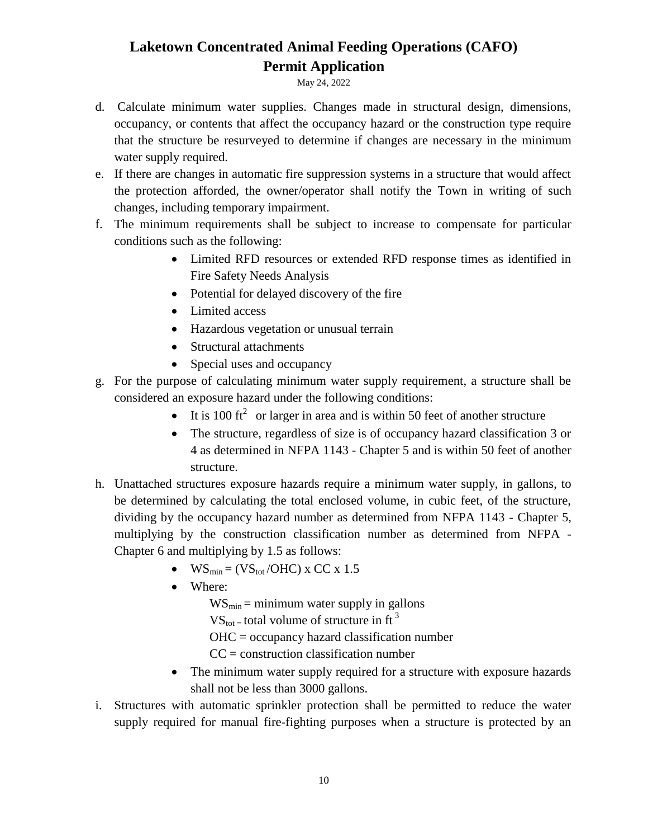May 24, 2022

- d. Calculate minimum water supplies. Changes made in structural design, dimensions, occupancy, or contents that affect the occupancy hazard or the construction type require that the structure be resurveyed to determine if changes are necessary in the minimum water supply required.
- e. If there are changes in automatic fire suppression systems in a structure that would affect the protection afforded, the owner/operator shall notify the Town in writing of such changes, including temporary impairment.
- f. The minimum requirements shall be subject to increase to compensate for particular conditions such as the following:
	- Limited RFD resources or extended RFD response times as identified in Fire Safety Needs Analysis
	- Potential for delayed discovery of the fire
	- Limited access
	- Hazardous vegetation or unusual terrain
	- Structural attachments
	- Special uses and occupancy
- g. For the purpose of calculating minimum water supply requirement, a structure shall be considered an exposure hazard under the following conditions:
	- It is 100 ft<sup>2</sup> or larger in area and is within 50 feet of another structure
	- The structure, regardless of size is of occupancy hazard classification 3 or 4 as determined in NFPA 1143 - Chapter 5 and is within 50 feet of another structure.
- h. Unattached structures exposure hazards require a minimum water supply, in gallons, to be determined by calculating the total enclosed volume, in cubic feet, of the structure, dividing by the occupancy hazard number as determined from NFPA 1143 - Chapter 5, multiplying by the construction classification number as determined from NFPA - Chapter 6 and multiplying by 1.5 as follows:
	- $\bullet$  WS<sub>min</sub> = (VS<sub>tot</sub>/OHC) x CC x 1.5
	- Where:
		- $WS_{\text{min}} = \text{minimum water supply in gallons}$
		- $VS_{\text{tot}}$  = total volume of structure in ft<sup>3</sup>
		- OHC = occupancy hazard classification number
		- $CC =$  construction classification number
	- The minimum water supply required for a structure with exposure hazards shall not be less than 3000 gallons.
- i. Structures with automatic sprinkler protection shall be permitted to reduce the water supply required for manual fire-fighting purposes when a structure is protected by an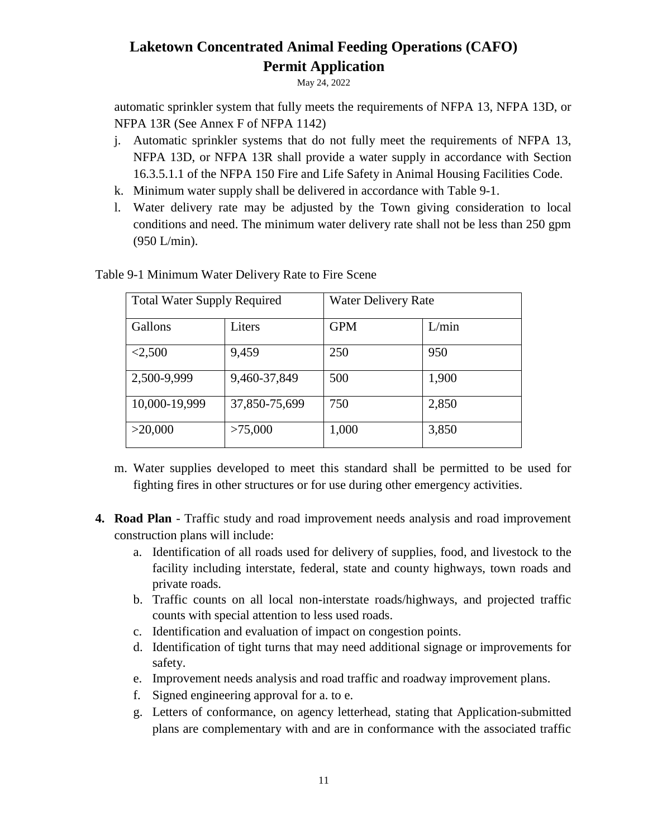May 24, 2022

automatic sprinkler system that fully meets the requirements of NFPA 13, NFPA 13D, or NFPA 13R (See Annex F of NFPA 1142)

- j. Automatic sprinkler systems that do not fully meet the requirements of NFPA 13, NFPA 13D, or NFPA 13R shall provide a water supply in accordance with Section 16.3.5.1.1 of the NFPA 150 Fire and Life Safety in Animal Housing Facilities Code.
- k. Minimum water supply shall be delivered in accordance with Table 9-1.
- l. Water delivery rate may be adjusted by the Town giving consideration to local conditions and need. The minimum water delivery rate shall not be less than 250 gpm (950 L/min).

| <b>Total Water Supply Required</b> | <b>Water Delivery Rate</b> |            |       |  |
|------------------------------------|----------------------------|------------|-------|--|
| Gallons                            | Liters                     | <b>GPM</b> | L/min |  |
| < 2,500                            | 9,459                      | 250        | 950   |  |
| 2,500-9,999                        | 9,460-37,849               | 500        | 1,900 |  |
| 10,000-19,999                      | 37,850-75,699              | 750        | 2,850 |  |
| >20,000                            | >75,000                    | 1,000      | 3,850 |  |

Table 9-1 Minimum Water Delivery Rate to Fire Scene

- m. Water supplies developed to meet this standard shall be permitted to be used for fighting fires in other structures or for use during other emergency activities.
- **4. Road Plan** Traffic study and road improvement needs analysis and road improvement construction plans will include:
	- a. Identification of all roads used for delivery of supplies, food, and livestock to the facility including interstate, federal, state and county highways, town roads and private roads.
	- b. Traffic counts on all local non-interstate roads/highways, and projected traffic counts with special attention to less used roads.
	- c. Identification and evaluation of impact on congestion points.
	- d. Identification of tight turns that may need additional signage or improvements for safety.
	- e. Improvement needs analysis and road traffic and roadway improvement plans.
	- f. Signed engineering approval for a. to e.
	- g. Letters of conformance, on agency letterhead, stating that Application-submitted plans are complementary with and are in conformance with the associated traffic